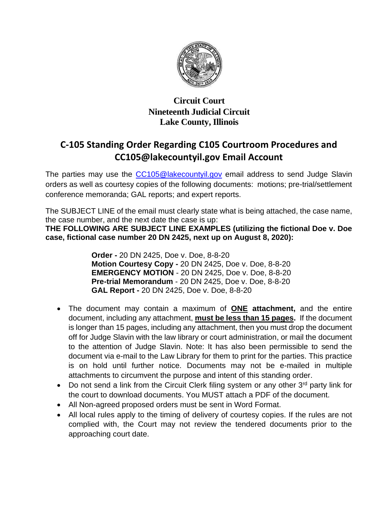

## **Circuit Court Nineteenth Judicial Circuit Lake County, Illinois**

## **C-105 Standing Order Regarding C105 Courtroom Procedures and CC105@lakecountyil.gov Email Account**

The parties may use the [CC105@lakecountyil.gov](mailto:CC105@lakecountyil.gov) email address to send Judge Slavin orders as well as courtesy copies of the following documents: motions; pre-trial/settlement conference memoranda; GAL reports; and expert reports.

The SUBJECT LINE of the email must clearly state what is being attached, the case name, the case number, and the next date the case is up:

**THE FOLLOWING ARE SUBJECT LINE EXAMPLES (utilizing the fictional Doe v. Doe case, fictional case number 20 DN 2425, next up on August 8, 2020):**

> **Order -** 20 DN 2425, Doe v. Doe, 8-8-20 **Motion Courtesy Copy -** 20 DN 2425, Doe v. Doe, 8-8-20 **EMERGENCY MOTION** - 20 DN 2425, Doe v. Doe, 8-8-20 **Pre-trial Memorandum** - 20 DN 2425, Doe v. Doe, 8-8-20 **GAL Report -** 20 DN 2425, Doe v. Doe, 8-8-20

- The document may contain a maximum of **ONE attachment,** and the entire document, including any attachment, **must be less than 15 pages.** If the document is longer than 15 pages, including any attachment, then you must drop the document off for Judge Slavin with the law library or court administration, or mail the document to the attention of Judge Slavin. Note: It has also been permissible to send the document via e-mail to the Law Library for them to print for the parties. This practice is on hold until further notice. Documents may not be e-mailed in multiple attachments to circumvent the purpose and intent of this standing order.
- Do not send a link from the Circuit Clerk filing system or any other 3<sup>rd</sup> party link for the court to download documents. You MUST attach a PDF of the document.
- All Non-agreed proposed orders must be sent in Word Format.
- All local rules apply to the timing of delivery of courtesy copies. If the rules are not complied with, the Court may not review the tendered documents prior to the approaching court date.